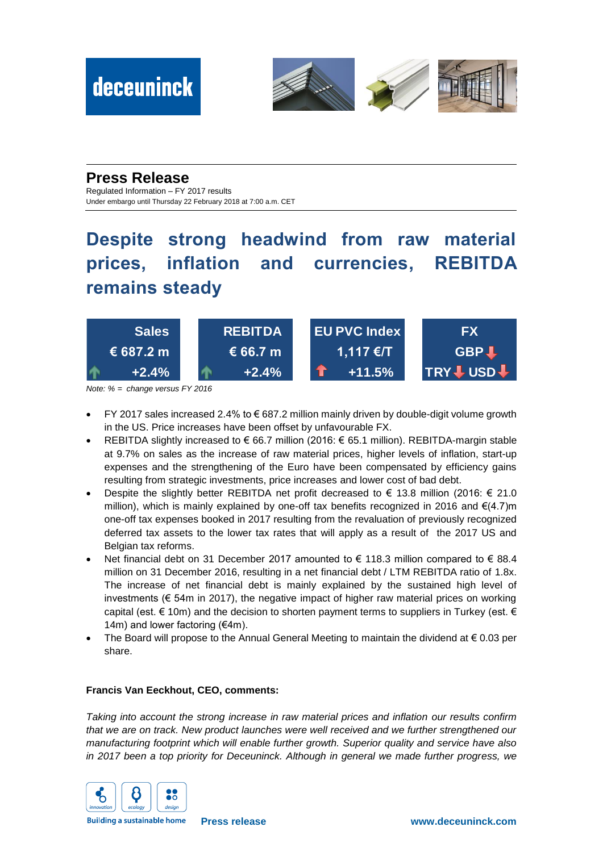

### **Press Release**

Regulated Information – FY 2017 results Under embargo until Thursday 22 February 2018 at 7:00 a.m. CET

## **Despite strong headwind from raw material prices, inflation and currencies, REBITDA remains steady**



*Note: % = change versus FY 2016*

- FY 2017 sales increased 2.4% to € 687.2 million mainly driven by double-digit volume growth in the US. Price increases have been offset by unfavourable FX.
- REBITDA slightly increased to € 66.7 million (2016: € 65.1 million). REBITDA-margin stable at 9.7% on sales as the increase of raw material prices, higher levels of inflation, start-up expenses and the strengthening of the Euro have been compensated by efficiency gains resulting from strategic investments, price increases and lower cost of bad debt.
- Despite the slightly better REBITDA net profit decreased to  $€$  13.8 million (2016:  $€$  21.0 million), which is mainly explained by one-off tax benefits recognized in 2016 and  $\epsilon$ (4.7)m one-off tax expenses booked in 2017 resulting from the revaluation of previously recognized deferred tax assets to the lower tax rates that will apply as a result of the 2017 US and Belgian tax reforms.
- Net financial debt on 31 December 2017 amounted to € 118.3 million compared to € 88.4 million on 31 December 2016, resulting in a net financial debt / LTM REBITDA ratio of 1.8x. The increase of net financial debt is mainly explained by the sustained high level of investments ( $\epsilon$  54m in 2017), the negative impact of higher raw material prices on working capital (est.  $\epsilon$  10m) and the decision to shorten payment terms to suppliers in Turkey (est.  $\epsilon$ 14m) and lower factoring ( $€4m$ ).
- The Board will propose to the Annual General Meeting to maintain the dividend at  $\epsilon$  0.03 per share.

#### **Francis Van Eeckhout, CEO, comments:**

*Taking into account the strong increase in raw material prices and inflation our results confirm that we are on track. New product launches were well received and we further strengthened our manufacturing footprint which will enable further growth. Superior quality and service have also in 2017 been a top priority for Deceuninck. Although in general we made further progress, we* 



**Building a sustainable home**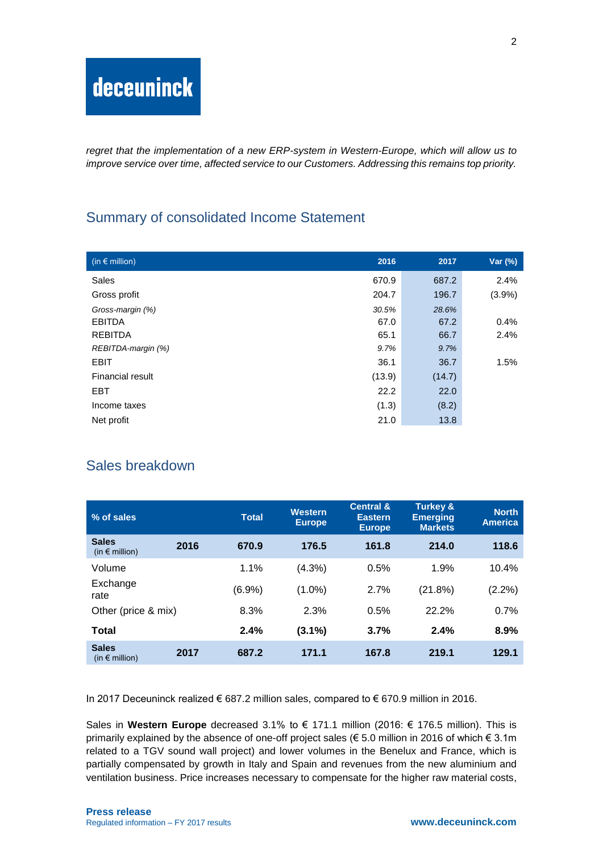*regret that the implementation of a new ERP-system in Western-Europe, which will allow us to improve service over time, affected service to our Customers. Addressing this remains top priority.*

## Summary of consolidated Income Statement

| (in $\epsilon$ million) | 2016   | 2017   | Var (%)   |
|-------------------------|--------|--------|-----------|
| Sales                   | 670.9  | 687.2  | 2.4%      |
| Gross profit            | 204.7  | 196.7  | $(3.9\%)$ |
| Gross-margin (%)        | 30.5%  | 28.6%  |           |
| <b>EBITDA</b>           | 67.0   | 67.2   | 0.4%      |
| <b>REBITDA</b>          | 65.1   | 66.7   | 2.4%      |
| REBITDA-margin (%)      | 9.7%   | 9.7%   |           |
| <b>EBIT</b>             | 36.1   | 36.7   | 1.5%      |
| <b>Financial result</b> | (13.9) | (14.7) |           |
| <b>EBT</b>              | 22.2   | 22.0   |           |
| Income taxes            | (1.3)  | (8.2)  |           |
| Net profit              | 21.0   | 13.8   |           |

## Sales breakdown

| % of sales                              |      | <b>Total</b> | <b>Western</b><br><b>Europe</b> | <b>Central &amp;</b><br><b>Eastern</b><br><b>Europe</b> | <b>Turkey &amp;</b><br><b>Emerging</b><br><b>Markets</b> | <b>North</b><br><b>America</b> |
|-----------------------------------------|------|--------------|---------------------------------|---------------------------------------------------------|----------------------------------------------------------|--------------------------------|
| <b>Sales</b><br>(in $\epsilon$ million) | 2016 | 670.9        | 176.5                           | 161.8                                                   | 214.0                                                    | 118.6                          |
| Volume                                  |      | 1.1%         | $(4.3\%)$                       | 0.5%                                                    | 1.9%                                                     | 10.4%                          |
| Exchange<br>rate                        |      | (6.9%)       | $(1.0\%)$                       | 2.7%                                                    | (21.8%)                                                  | $(2.2\%)$                      |
| Other (price & mix)                     |      | 8.3%         | 2.3%                            | 0.5%                                                    | 22.2%                                                    | 0.7%                           |
| Total                                   |      | 2.4%         | $(3.1\%)$                       | 3.7%                                                    | 2.4%                                                     | 8.9%                           |
| <b>Sales</b><br>(in $\epsilon$ million) | 2017 | 687.2        | 171.1                           | 167.8                                                   | 219.1                                                    | 129.1                          |

In 2017 Deceuninck realized € 687.2 million sales, compared to € 670.9 million in 2016.

Sales in **Western Europe** decreased 3.1% to € 171.1 million (2016: € 176.5 million). This is primarily explained by the absence of one-off project sales ( $\epsilon$  5.0 million in 2016 of which  $\epsilon$  3.1m related to a TGV sound wall project) and lower volumes in the Benelux and France, which is partially compensated by growth in Italy and Spain and revenues from the new aluminium and ventilation business. Price increases necessary to compensate for the higher raw material costs,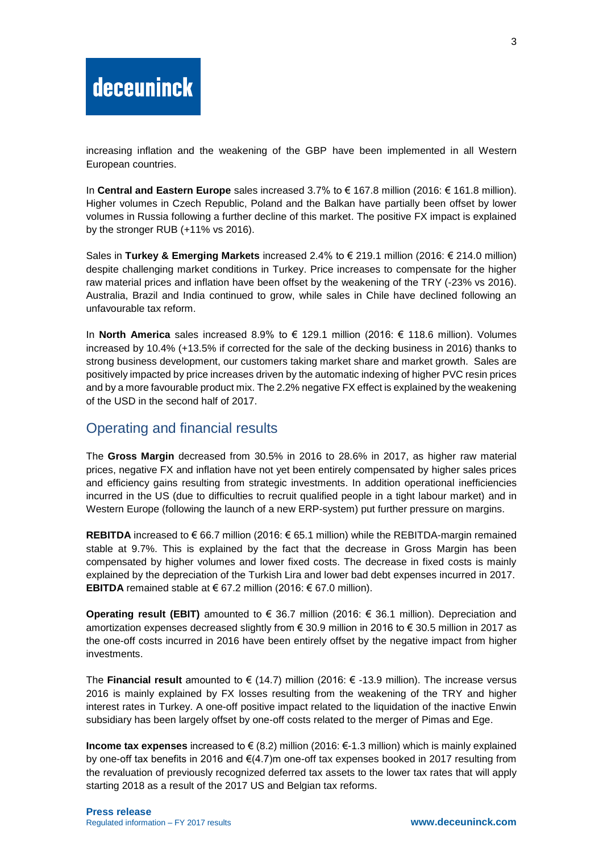increasing inflation and the weakening of the GBP have been implemented in all Western European countries.

In **Central and Eastern Europe** sales increased 3.7% to € 167.8 million (2016: € 161.8 million). Higher volumes in Czech Republic, Poland and the Balkan have partially been offset by lower volumes in Russia following a further decline of this market. The positive FX impact is explained by the stronger RUB (+11% vs 2016).

Sales in **Turkey & Emerging Markets** increased 2.4% to € 219.1 million (2016: € 214.0 million) despite challenging market conditions in Turkey. Price increases to compensate for the higher raw material prices and inflation have been offset by the weakening of the TRY (-23% vs 2016). Australia, Brazil and India continued to grow, while sales in Chile have declined following an unfavourable tax reform.

In **North America** sales increased 8.9% to € 129.1 million (2016: € 118.6 million). Volumes increased by 10.4% (+13.5% if corrected for the sale of the decking business in 2016) thanks to strong business development, our customers taking market share and market growth. Sales are positively impacted by price increases driven by the automatic indexing of higher PVC resin prices and by a more favourable product mix. The 2.2% negative FX effect is explained by the weakening of the USD in the second half of 2017.

#### Operating and financial results

The **Gross Margin** decreased from 30.5% in 2016 to 28.6% in 2017, as higher raw material prices, negative FX and inflation have not yet been entirely compensated by higher sales prices and efficiency gains resulting from strategic investments. In addition operational inefficiencies incurred in the US (due to difficulties to recruit qualified people in a tight labour market) and in Western Europe (following the launch of a new ERP-system) put further pressure on margins.

**REBITDA** increased to €66.7 million (2016: €65.1 million) while the REBITDA-margin remained stable at 9.7%. This is explained by the fact that the decrease in Gross Margin has been compensated by higher volumes and lower fixed costs. The decrease in fixed costs is mainly explained by the depreciation of the Turkish Lira and lower bad debt expenses incurred in 2017. **EBITDA** remained stable at € 67.2 million (2016: € 67.0 million).

**Operating result (EBIT)** amounted to € 36.7 million (2016: € 36.1 million). Depreciation and amortization expenses decreased slightly from € 30.9 million in 2016 to € 30.5 million in 2017 as the one-off costs incurred in 2016 have been entirely offset by the negative impact from higher investments.

The **Financial result** amounted to € (14.7) million (2016: € -13.9 million). The increase versus 2016 is mainly explained by FX losses resulting from the weakening of the TRY and higher interest rates in Turkey. A one-off positive impact related to the liquidation of the inactive Enwin subsidiary has been largely offset by one-off costs related to the merger of Pimas and Ege.

**Income tax expenses** increased to € (8.2) million (2016: €-1.3 million) which is mainly explained by one-off tax benefits in 2016 and €(4.7)m one-off tax expenses booked in 2017 resulting from the revaluation of previously recognized deferred tax assets to the lower tax rates that will apply starting 2018 as a result of the 2017 US and Belgian tax reforms.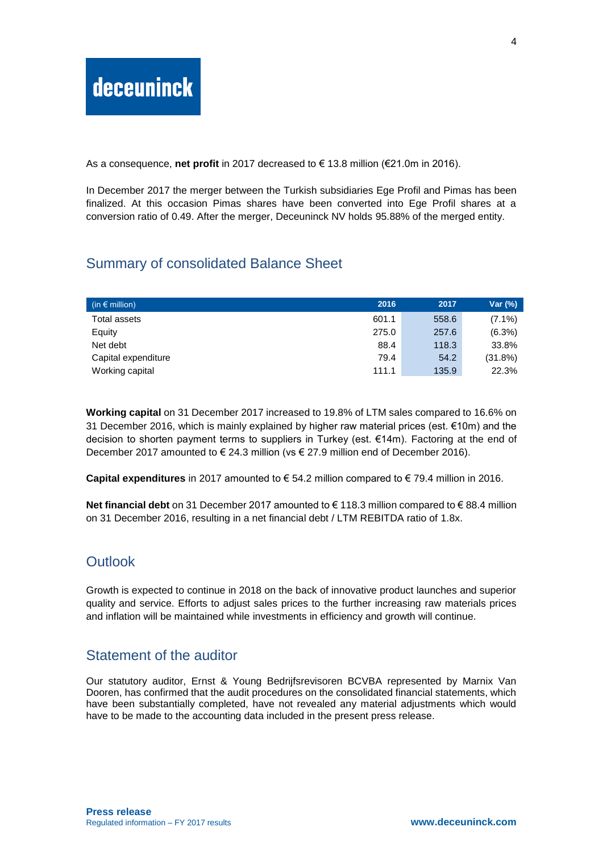As a consequence, **net profit** in 2017 decreased to € 13.8 million (€21.0m in 2016).

In December 2017 the merger between the Turkish subsidiaries Ege Profil and Pimas has been finalized. At this occasion Pimas shares have been converted into Ege Profil shares at a conversion ratio of 0.49. After the merger, Deceuninck NV holds 95.88% of the merged entity.

## Summary of consolidated Balance Sheet

| (in $\epsilon$ million) | 2016  | 2017  | Var (%)   |
|-------------------------|-------|-------|-----------|
| Total assets            | 601.1 | 558.6 | $(7.1\%)$ |
| Equity                  | 275.0 | 257.6 | $(6.3\%)$ |
| Net debt                | 88.4  | 118.3 | 33.8%     |
| Capital expenditure     | 79.4  | 54.2  | (31.8%)   |
| Working capital         | 111.1 | 135.9 | 22.3%     |

**Working capital** on 31 December 2017 increased to 19.8% of LTM sales compared to 16.6% on 31 December 2016, which is mainly explained by higher raw material prices (est. €10m) and the decision to shorten payment terms to suppliers in Turkey (est. €14m). Factoring at the end of December 2017 amounted to  $\in$  24.3 million (vs  $\in$  27.9 million end of December 2016).

**Capital expenditures** in 2017 amounted to € 54.2 million compared to € 79.4 million in 2016.

**Net financial debt** on 31 December 2017 amounted to € 118.3 million compared to € 88.4 million on 31 December 2016, resulting in a net financial debt / LTM REBITDA ratio of 1.8x.

### **Outlook**

Growth is expected to continue in 2018 on the back of innovative product launches and superior quality and service. Efforts to adjust sales prices to the further increasing raw materials prices and inflation will be maintained while investments in efficiency and growth will continue.

### Statement of the auditor

Our statutory auditor, Ernst & Young Bedrijfsrevisoren BCVBA represented by Marnix Van Dooren, has confirmed that the audit procedures on the consolidated financial statements, which have been substantially completed, have not revealed any material adjustments which would have to be made to the accounting data included in the present press release.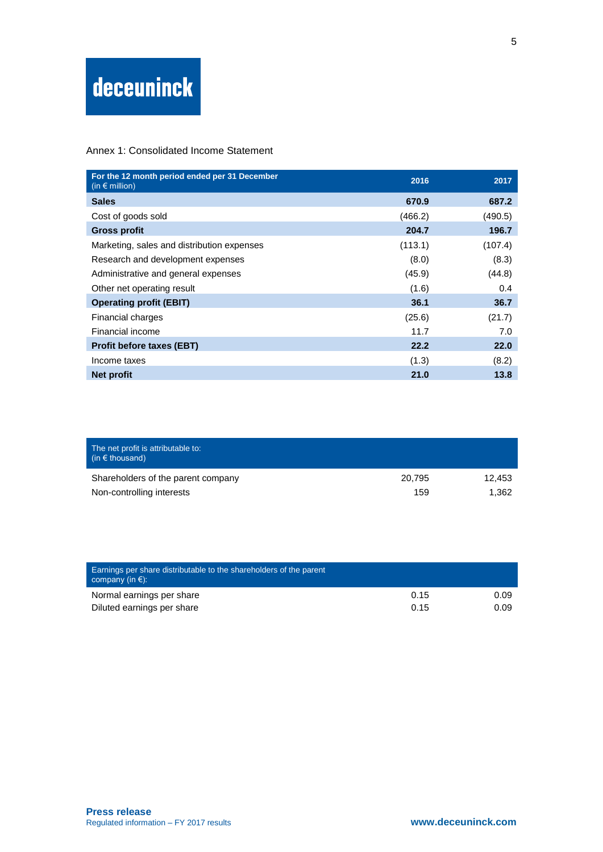#### Annex 1: Consolidated Income Statement

| For the 12 month period ended per 31 December<br>(in $\epsilon$ million) | 2016    | 2017    |
|--------------------------------------------------------------------------|---------|---------|
| <b>Sales</b>                                                             | 670.9   | 687.2   |
| Cost of goods sold                                                       | (466.2) | (490.5) |
| <b>Gross profit</b>                                                      | 204.7   | 196.7   |
| Marketing, sales and distribution expenses                               | (113.1) | (107.4) |
| Research and development expenses                                        | (8.0)   | (8.3)   |
| Administrative and general expenses                                      | (45.9)  | (44.8)  |
| Other net operating result                                               | (1.6)   | 0.4     |
| <b>Operating profit (EBIT)</b>                                           | 36.1    | 36.7    |
| Financial charges                                                        | (25.6)  | (21.7)  |
| Financial income                                                         | 11.7    | 7.0     |
| <b>Profit before taxes (EBT)</b>                                         | 22.2    | 22.0    |
| Income taxes                                                             | (1.3)   | (8.2)   |
| <b>Net profit</b>                                                        | 21.0    | 13.8    |

| The net profit is attributable to:<br>$(in \in$ thousand) |        |        |
|-----------------------------------------------------------|--------|--------|
| Shareholders of the parent company                        | 20.795 | 12.453 |
| Non-controlling interests                                 | 159    | 1.362  |

| Earnings per share distributable to the shareholders of the parent<br>company (in $\xi$ ): |      |      |
|--------------------------------------------------------------------------------------------|------|------|
| Normal earnings per share                                                                  | 0.15 | 0.09 |
| Diluted earnings per share                                                                 | 0.15 | 0.09 |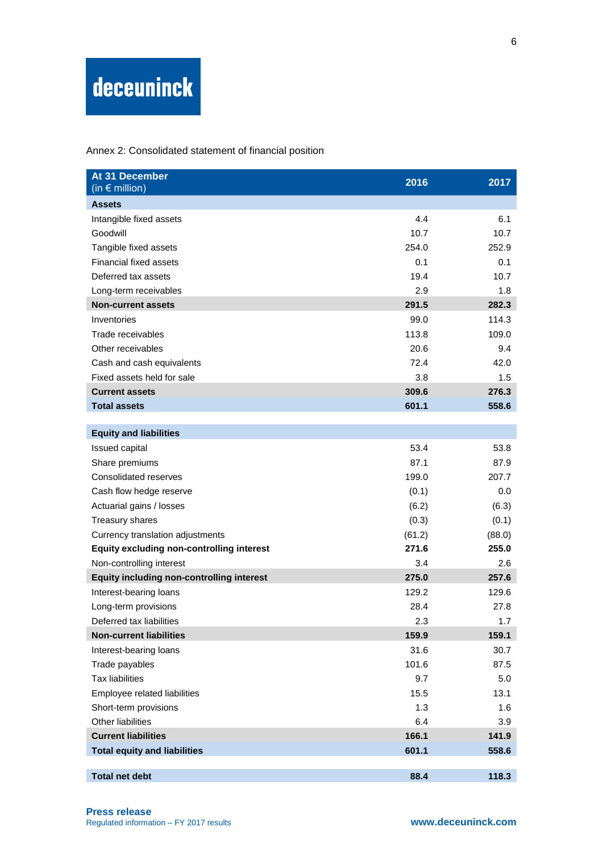Annex 2: Consolidated statement of financial position

| At 31 December<br>(in $\epsilon$ million)        | 2016   | 2017   |
|--------------------------------------------------|--------|--------|
| <b>Assets</b>                                    |        |        |
| Intangible fixed assets                          | 4.4    | 6.1    |
| Goodwill                                         | 10.7   | 10.7   |
| Tangible fixed assets                            | 254.0  | 252.9  |
| <b>Financial fixed assets</b>                    | 0.1    | 0.1    |
| Deferred tax assets                              | 19.4   | 10.7   |
| Long-term receivables                            | 2.9    | 1.8    |
| <b>Non-current assets</b>                        | 291.5  | 282.3  |
| Inventories                                      | 99.0   | 114.3  |
| Trade receivables                                | 113.8  | 109.0  |
| Other receivables                                | 20.6   | 9.4    |
| Cash and cash equivalents                        | 72.4   | 42.0   |
| Fixed assets held for sale                       | 3.8    | 1.5    |
| <b>Current assets</b>                            | 309.6  | 276.3  |
| <b>Total assets</b>                              | 601.1  | 558.6  |
|                                                  |        |        |
| <b>Equity and liabilities</b>                    |        |        |
| Issued capital                                   | 53.4   | 53.8   |
| Share premiums                                   | 87.1   | 87.9   |
| Consolidated reserves                            | 199.0  | 207.7  |
| Cash flow hedge reserve                          | (0.1)  | 0.0    |
| Actuarial gains / losses                         | (6.2)  | (6.3)  |
| Treasury shares                                  | (0.3)  | (0.1)  |
| Currency translation adjustments                 | (61.2) | (88.0) |
| <b>Equity excluding non-controlling interest</b> | 271.6  | 255.0  |
| Non-controlling interest                         | 3.4    | 2.6    |
| <b>Equity including non-controlling interest</b> | 275.0  | 257.6  |
| Interest-bearing loans                           | 129.2  | 129.6  |
| Long-term provisions                             | 28.4   | 27.8   |
| Deferred tax liabilities                         | 2.3    | 1.7    |
| <b>Non-current liabilities</b>                   | 159.9  | 159.1  |
| Interest-bearing loans                           | 31.6   | 30.7   |
| Trade payables                                   | 101.6  | 87.5   |
| <b>Tax liabilities</b>                           | 9.7    | 5.0    |
| Employee related liabilities                     | 15.5   | 13.1   |
| Short-term provisions                            | 1.3    | 1.6    |
| Other liabilities                                | 6.4    | 3.9    |
| <b>Current liabilities</b>                       | 166.1  | 141.9  |
| <b>Total equity and liabilities</b>              | 601.1  | 558.6  |
| <b>Total net debt</b>                            | 88.4   | 118.3  |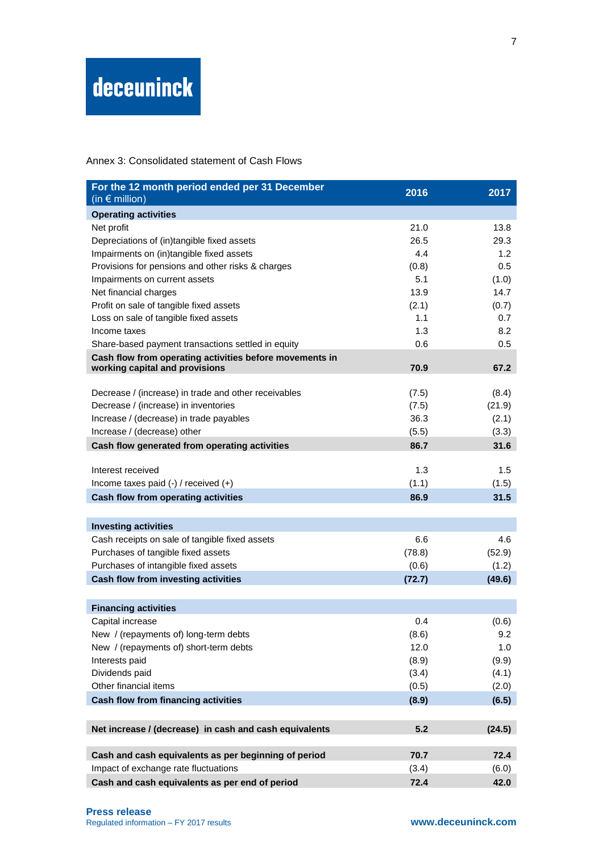#### Annex 3: Consolidated statement of Cash Flows

| For the 12 month period ended per 31 December<br>(in $\epsilon$ million)                  | 2016   | 2017   |
|-------------------------------------------------------------------------------------------|--------|--------|
| <b>Operating activities</b>                                                               |        |        |
| Net profit                                                                                | 21.0   | 13.8   |
| Depreciations of (in)tangible fixed assets                                                | 26.5   | 29.3   |
| Impairments on (in)tangible fixed assets                                                  | 4.4    | 1.2    |
| Provisions for pensions and other risks & charges                                         | (0.8)  | 0.5    |
| Impairments on current assets                                                             | 5.1    | (1.0)  |
| Net financial charges                                                                     | 13.9   | 14.7   |
| Profit on sale of tangible fixed assets                                                   | (2.1)  | (0.7)  |
| Loss on sale of tangible fixed assets                                                     | 1.1    | 0.7    |
| Income taxes                                                                              | 1.3    | 8.2    |
| Share-based payment transactions settled in equity                                        | 0.6    | 0.5    |
| Cash flow from operating activities before movements in<br>working capital and provisions | 70.9   | 67.2   |
|                                                                                           |        |        |
| Decrease / (increase) in trade and other receivables                                      | (7.5)  | (8.4)  |
| Decrease / (increase) in inventories                                                      | (7.5)  | (21.9) |
| Increase / (decrease) in trade payables                                                   | 36.3   | (2.1)  |
| Increase / (decrease) other                                                               | (5.5)  | (3.3)  |
| Cash flow generated from operating activities                                             | 86.7   | 31.6   |
| Interest received                                                                         | 1.3    | 1.5    |
| Income taxes paid $(-)$ / received $(+)$                                                  | (1.1)  | (1.5)  |
| <b>Cash flow from operating activities</b>                                                | 86.9   | 31.5   |
|                                                                                           |        |        |
| <b>Investing activities</b>                                                               |        |        |
| Cash receipts on sale of tangible fixed assets                                            | 6.6    | 4.6    |
| Purchases of tangible fixed assets                                                        | (78.8) | (52.9) |
| Purchases of intangible fixed assets                                                      | (0.6)  | (1.2)  |
| Cash flow from investing activities                                                       | (72.7) | (49.6) |
|                                                                                           |        |        |
| <b>Financing activities</b>                                                               |        |        |
| Capital increase                                                                          | 0.4    | (0.6)  |
| New / (repayments of) long-term debts                                                     | (8.6)  | 9.2    |
| New / (repayments of) short-term debts                                                    | 12.0   | 1.0    |
| Interests paid                                                                            | (8.9)  | (9.9)  |
| Dividends paid<br>Other financial items                                                   | (3.4)  | (4.1)  |
|                                                                                           | (0.5)  | (2.0)  |
| <b>Cash flow from financing activities</b>                                                | (8.9)  | (6.5)  |
| Net increase / (decrease) in cash and cash equivalents                                    | 5.2    | (24.5) |
| Cash and cash equivalents as per beginning of period                                      | 70.7   | 72.4   |
| Impact of exchange rate fluctuations                                                      | (3.4)  | (6.0)  |
| Cash and cash equivalents as per end of period                                            | 72.4   | 42.0   |